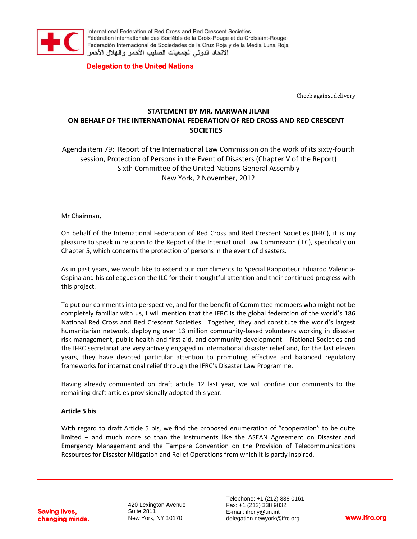

International Federation of Red Cross and Red Crescent Societies Fédération internationale des Sociétés de la Croix-Rouge et du Croissant-Rouge Federación Internacional de Sociedades de la Cruz Roja y de la Media Luna Roja الاتحاد الدولى لجمعيات الصليب الأحمر والهلال الأحمر

## **Delegation to the United Nations**

Check against delivery

# **STATEMENT BY MR. MARWAN JILANI ON BEHALF OF THE INTERNATIONAL FEDERATION OF RED CROSS AND RED CRESCENT SOCIETIES**

Agenda item 79: Report of the International Law Commission on the work of its sixty-fourth session, Protection of Persons in the Event of Disasters (Chapter V of the Report) Sixth Committee of the United Nations General Assembly New York, 2 November, 2012

Mr Chairman,

On behalf of the International Federation of Red Cross and Red Crescent Societies (IFRC), it is my pleasure to speak in relation to the Report of the International Law Commission (ILC), specifically on Chapter 5, which concerns the protection of persons in the event of disasters.

As in past years, we would like to extend our compliments to Special Rapporteur Eduardo Valencia-Ospina and his colleagues on the ILC for their thoughtful attention and their continued progress with this project.

To put our comments into perspective, and for the benefit of Committee members who might not be completely familiar with us, I will mention that the IFRC is the global federation of the world's 186 National Red Cross and Red Crescent Societies. Together, they and constitute the world's largest humanitarian network, deploying over 13 million community-based volunteers working in disaster risk management, public health and first aid, and community development. National Societies and the IFRC secretariat are very actively engaged in international disaster relief and, for the last eleven years, they have devoted particular attention to promoting effective and balanced regulatory frameworks for international relief through the IFRC's Disaster Law Programme.

Having already commented on draft article 12 last year, we will confine our comments to the remaining draft articles provisionally adopted this year.

#### **Article 5 bis**

With regard to draft Article 5 bis, we find the proposed enumeration of "cooperation" to be quite limited – and much more so than the instruments like the ASEAN Agreement on Disaster and Emergency Management and the Tampere Convention on the Provision of Telecommunications Resources [for Disaster Mitigation and Relief Operations](http://www.ifrc.org/Docs/idrl/I271EN.pdf) from which it is partly inspired.

**Saving lives, changing minds.**

420 Lexington Avenue Suite 2811 New York, NY 10170

Telephone: +1 (212) 338 0161 Fax: +1 (212) 338 9832 E-mail: ifrcny@un.int delegation.newyork@ifrc.org **www.ifrc.org**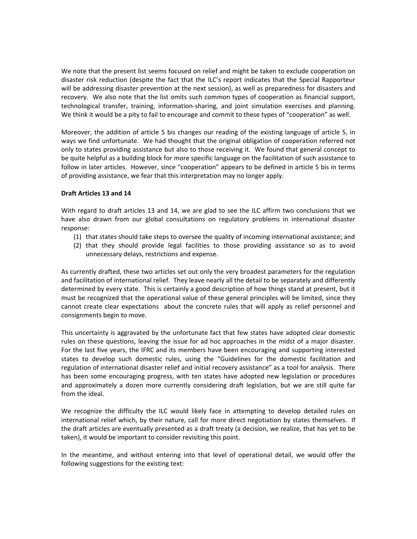We note that the present list seems focused on relief and might be taken to exclude cooperation on disaster risk reduction (despite the fact that the ILC's report indicates that the Special Rapporteur will be addressing disaster prevention at the next session), as well as preparedness for disasters and recovery. We also note that the list omits such common types of cooperation as financial support, technological transfer, training, information-sharing, and joint simulation exercises and planning. We think it would be a pity to fail to encourage and commit to these types of "cooperation" as well.

Moreover, the addition of article 5 bis changes our reading of the existing language of article 5, in ways we find unfortunate. We had thought that the original obligation of cooperation referred not only to states providing assistance but also to those receiving it. We found that general concept to be quite helpful as a building block for more specific language on the facilitation of such assistance to follow in later articles. However, since "cooperation" appears to be defined in article 5 bis in terms of providing assistance, we fear that this interpretation may no longer apply.

#### **Draft Articles 13 and 14**

With regard to draft articles 13 and 14, we are glad to see the ILC affirm two conclusions that we have also drawn from our global consultations on regulatory problems in international disaster response:

- (1) that states should take steps to oversee the quality of incoming international assistance; and
- (2) that they should provide legal facilities to those providing assistance so as to avoid unnecessary delays, restrictions and expense.

As currently drafted, these two articles set out only the very broadest parameters for the regulation and facilitation of international relief. They leave nearly all the detail to be separately and differently determined by every state. This is certainly a good description of how things stand at present, but it must be recognized that the operational value of these general principles will be limited, since they cannot create clear expectations about the concrete rules that will apply as relief personnel and consignments begin to move.

This uncertainty is aggravated by the unfortunate fact that few states have adopted clear domestic rules on these questions, leaving the issue for ad hoc approaches in the midst of a major disaster. For the last five years, the IFRC and its members have been encouraging and supporting interested states to develop such domestic rules, using the "Guidelines for the domestic facilitation and regulation of international disaster relief and initial recovery assistance" as a tool for analysis. There has been some encouraging progress, with ten states have adopted new legislation or procedures and approximately a dozen more currently considering draft legislation, but we are still quite far from the ideal.

We recognize the difficulty the ILC would likely face in attempting to develop detailed rules on international relief which, by their nature, call for more direct negotiation by states themselves. If the draft articles are eventually presented as a draft treaty (a decision, we realize, that has yet to be taken), it would be important to consider revisiting this point.

In the meantime, and without entering into that level of operational detail, we would offer the following suggestions for the existing text: